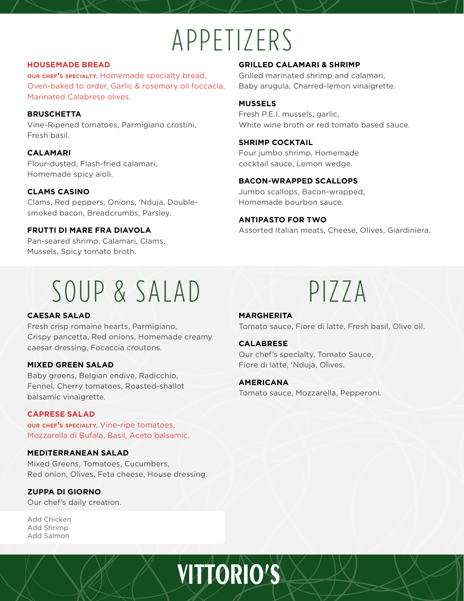# APPETIZERS

# **HOUSEMADE BREAD**

**our chef's specialty**, Homemade specialty bread, Oven-baked to order, Garlic & rosemary oil foccacia, Marinated Calabrese olives.

# **BRUSCHETTA**

Vine-Ripened tomatoes, Parmigiano crostini, Fresh basil.

# **CALAMARI**

Flour-dusted, Flash-fried calamari, Homemade spicy aioli.

# **CLAMS CASINO**

Clams, Red peppers, Onions, 'Nduja, Doublesmoked bacon, Breadcrumbs, Parsley.

# **FRUTTI DI MARE FRA DIAVOLA**

Pan-seared shrimp, Calamari, Clams, Mussels, Spicy tomato broth.

# **GRILLED CALAMARI & SHRIMP**

Grilled marinated shrimp and calamari, Baby arugula, Charred-lemon vinaigrette.

# **MUSSELS**

Fresh P.E.I. mussels, garlic, White wine broth or red tomato based sauce.

# **SHRIMP COCKTAIL**

Four jumbo shrimp, Homemade cocktail sauce, Lemon wedge.

# **BACON-WRAPPED SCALLOPS**

Jumbo scallops, Bacon-wrapped, Homemade bourbon sauce.

# **ANTIPASTO FOR TWO**

Assorted Italian meats, Cheese, Olives, Giardiniera.

# SOUP & SALAD PIZZA

# **CAESAR SALAD**

Fresh crisp romaine hearts, Parmigiano, Crispy pancetta, Red onions, Homemade creamy caesar dressing, Focaccia croutons.

# **MIXED GREEN SALAD**

Baby greens, Belgian endive, Radicchio, Fennel, Cherry tomatoes, Roasted-shallot balsamic vinaigrette.

### **CAPRESE SALAD**

**our chef's specialty**, Vine-ripe tomatoes, Mozzarella di Bufala, Basil, Aceto balsamic.

# **MEDITERRANEAN SALAD**

Mixed Greens, Tomatoes, Cucumbers, Red onion, Olives, Feta cheese, House dressing.

### **ZUPPA DI GIORNO**

Our chef's daily creation.

Add Chicken Add Shrimp Add Salmon

# **MARGHERITA**

Tomato sauce, Fiore di latte, Fresh basil, Olive oil.

### **CALABRESE**

Our chef's specialty, Tomato Sauce, Fiore di latte, 'Nduja, Olives.

### **AMERICANA**

Tomato sauce, Mozzarella, Pepperoni.